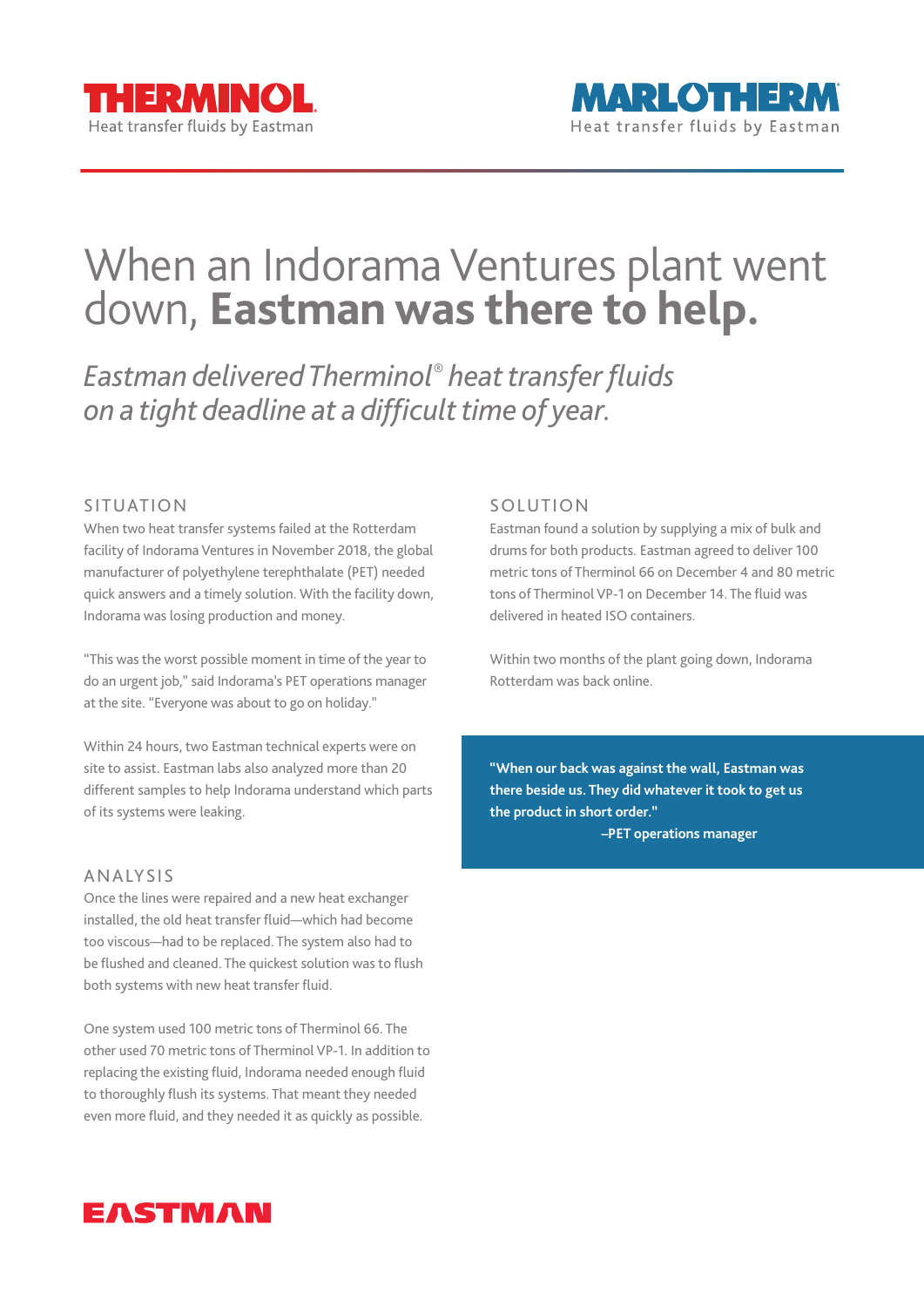## When an Indorama Ventures plant went down, **Eastman was there to help.**

*Eastman delivered Therminol® heat transfer fluids on a tight deadline at a difficult time of year.*

## SITUATION

When two heat transfer systems failed at the Rotterdam facility of Indorama Ventures in November 2018, the global manufacturer of polyethylene terephthalate (PET) needed quick answers and a timely solution. With the facility down, Indorama was losing production and money.

"This was the worst possible moment in time of the year to do an urgent job," said Indorama's PET operations manager at the site. "Everyone was about to go on holiday."

Within 24 hours, two Eastman technical experts were on site to assist. Eastman labs also analyzed more than 20 different samples to help Indorama understand which parts of its systems were leaking.

## ANALYSIS

Once the lines were repaired and a new heat exchanger installed, the old heat transfer fluid—which had become too viscous—had to be replaced. The system also had to be flushed and cleaned. The quickest solution was to flush both systems with new heat transfer fluid.

One system used 100 metric tons of Therminol 66. The other used 70 metric tons of Therminol VP-1. In addition to replacing the existing fluid, Indorama needed enough fluid to thoroughly flush its systems. That meant they needed even more fluid, and they needed it as quickly as possible.

## SOLUTION

Eastman found a solution by supplying a mix of bulk and drums for both products. Eastman agreed to deliver 100 metric tons of Therminol 66 on December 4 and 80 metric tons of Therminol VP-1 on December 14. The fluid was delivered in heated ISO containers.

Within two months of the plant going down, Indorama Rotterdam was back online.

**"When our back was against the wall, Eastman was there beside us. They did whatever it took to get us the product in short order." –PET operations manager**